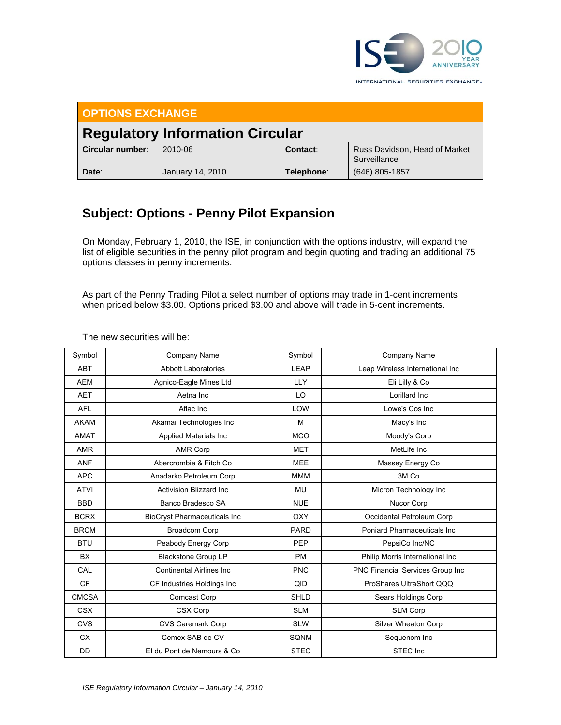

**OPTIONS EXCHANGE Regulatory Information Circular Circular number**: 2010-06 **Contact:** Russ Davidson, Head of Market **Surveillance Date**:January 14, 2010 **Telephone**: (646) 805-1857

## **Subject: Options - Penny Pilot Expansion**

On Monday, February 1, 2010, the ISE, in conjunction with the options industry, will expand the list of eligible securities in the penny pilot program and begin quoting and trading an additional 75 options classes in penny increments.

As part of the Penny Trading Pilot a select number of options may trade in 1-cent increments when priced below \$3.00. Options priced \$3.00 and above will trade in 5-cent increments.

| Symbol       | Company Name                        | Symbol      | <b>Company Name</b>              |
|--------------|-------------------------------------|-------------|----------------------------------|
| <b>ABT</b>   | <b>Abbott Laboratories</b>          | LEAP        | Leap Wireless International Inc  |
| <b>AEM</b>   | Agnico-Eagle Mines Ltd              | <b>LLY</b>  | Eli Lilly & Co                   |
| <b>AET</b>   | Aetna Inc                           | LO          | Lorillard Inc                    |
| <b>AFL</b>   | Aflac Inc                           | LOW         | Lowe's Cos Inc                   |
| <b>AKAM</b>  | Akamai Technologies Inc             | M           | Macy's Inc                       |
| <b>AMAT</b>  | Applied Materials Inc               | <b>MCO</b>  | Moody's Corp                     |
| <b>AMR</b>   | <b>AMR Corp</b>                     | <b>MET</b>  | MetLife Inc                      |
| <b>ANF</b>   | Abercrombie & Fitch Co              | <b>MEE</b>  | Massey Energy Co                 |
| <b>APC</b>   | Anadarko Petroleum Corp             | <b>MMM</b>  | 3M Co                            |
| <b>ATVI</b>  | <b>Activision Blizzard Inc.</b>     | <b>MU</b>   | Micron Technology Inc            |
| <b>BBD</b>   | Banco Bradesco SA                   | <b>NUE</b>  | Nucor Corp                       |
| <b>BCRX</b>  | <b>BioCryst Pharmaceuticals Inc</b> | <b>OXY</b>  | Occidental Petroleum Corp        |
| <b>BRCM</b>  | <b>Broadcom Corp</b>                | <b>PARD</b> | Poniard Pharmaceuticals Inc.     |
| <b>BTU</b>   | Peabody Energy Corp                 | PEP         | PepsiCo Inc/NC                   |
| <b>BX</b>    | <b>Blackstone Group LP</b>          | <b>PM</b>   | Philip Morris International Inc  |
| CAL          | <b>Continental Airlines Inc.</b>    | <b>PNC</b>  | PNC Financial Services Group Inc |
| <b>CF</b>    | CF Industries Holdings Inc          | QID         | ProShares UltraShort QQQ         |
| <b>CMCSA</b> | Comcast Corp                        | <b>SHLD</b> | Sears Holdings Corp              |
| <b>CSX</b>   | CSX Corp                            | <b>SLM</b>  | SLM Corp                         |
| <b>CVS</b>   | <b>CVS Caremark Corp</b>            | <b>SLW</b>  | Silver Wheaton Corp              |
| <b>CX</b>    | Cemex SAB de CV                     | SQNM        | Sequenom Inc                     |
| <b>DD</b>    | El du Pont de Nemours & Co          | <b>STEC</b> | STEC Inc                         |

The new securities will be: